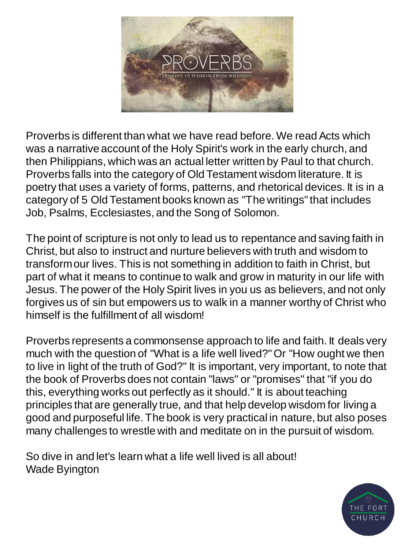

Proverbs is different than what we have read before. We read Acts which was a narrative account of the Holy Spirit's work in the early church, and then Philippians, which was an actual letter written by Paul to that church. Proverbs falls into the category of Old Testament wisdom literature. It is poetry that uses a variety of forms, patterns, and rhetorical devices. It is in a category of 5 Old Testament books known as "The writings" that includes Job, Psalms, Ecclesiastes, and the Song of Solomon.

The point of scripture is not only to lead us to repentance and saving faith in Christ, but also to instruct and nurture believers with truth and wisdom to transform our lives. This is not something in addition to faith in Christ, but part of what it means to continue to walk and grow in maturity in our life with Jesus. The power of the Holy Spirit lives in you us as believers, and not only forgives us of sin but empowers us to walk in a manner worthy of Christ who himself is the fulfillment of all wisdom!

Proverbs represents a commonsense approach to life and faith. It deals very much with the question of "What is a life well lived?" Or "How ought we then to live in light of the truth of God?" It is important, very important, to note that the book of Proverbs does not contain "laws" or "promises" that "if you do this, everything works out perfectly as it should." It is about teaching principles that are generally true, and that help develop wisdom for living a good and purposeful life. The book is very practical in nature, but also poses many challenges to wrestle with and meditate on in the pursuit of wisdom.

So dive in and let's learn what a life well lived is all about! Wade Byington

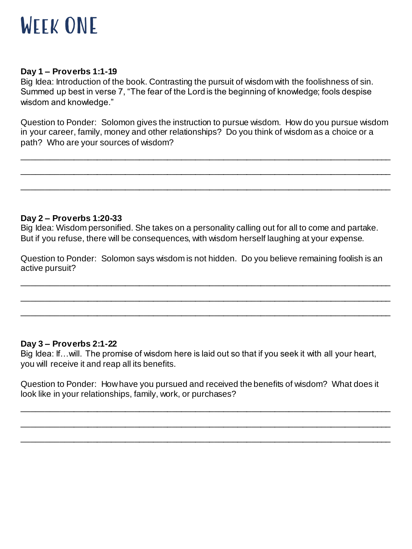

#### **Day 1 – Proverbs 1:1-19**

Big Idea: Introduction of the book. Contrasting the pursuit of wisdom with the foolishness of sin. Summed up best in verse 7, "The fear of the Lord is the beginning of knowledge; fools despise wisdom and knowledge."

Question to Ponder: Solomon gives the instruction to pursue wisdom. How do you pursue wisdom in your career, family, money and other relationships? Do you think of wisdom as a choice or a path? Who are your sources of wisdom?

\_\_\_\_\_\_\_\_\_\_\_\_\_\_\_\_\_\_\_\_\_\_\_\_\_\_\_\_\_\_\_\_\_\_\_\_\_\_\_\_\_\_\_\_\_\_\_\_\_\_\_\_\_\_\_\_\_\_\_\_\_\_\_\_\_\_\_\_\_\_\_\_\_\_\_\_\_\_\_ \_\_\_\_\_\_\_\_\_\_\_\_\_\_\_\_\_\_\_\_\_\_\_\_\_\_\_\_\_\_\_\_\_\_\_\_\_\_\_\_\_\_\_\_\_\_\_\_\_\_\_\_\_\_\_\_\_\_\_\_\_\_\_\_\_\_\_\_\_\_\_\_\_\_\_\_\_\_\_

\_\_\_\_\_\_\_\_\_\_\_\_\_\_\_\_\_\_\_\_\_\_\_\_\_\_\_\_\_\_\_\_\_\_\_\_\_\_\_\_\_\_\_\_\_\_\_\_\_\_\_\_\_\_\_\_\_\_\_\_\_\_\_\_\_\_\_\_\_\_\_\_\_\_\_\_\_\_\_

### **Day 2 – Proverbs 1:20-33**

Big Idea: Wisdom personified. She takes on a personality calling out for all to come and partake. But if you refuse, there will be consequences, with wisdom herself laughing at your expense.

Question to Ponder: Solomon says wisdom is not hidden. Do you believe remaining foolish is an active pursuit?

\_\_\_\_\_\_\_\_\_\_\_\_\_\_\_\_\_\_\_\_\_\_\_\_\_\_\_\_\_\_\_\_\_\_\_\_\_\_\_\_\_\_\_\_\_\_\_\_\_\_\_\_\_\_\_\_\_\_\_\_\_\_\_\_\_\_\_\_\_\_\_\_\_\_\_\_\_\_\_

\_\_\_\_\_\_\_\_\_\_\_\_\_\_\_\_\_\_\_\_\_\_\_\_\_\_\_\_\_\_\_\_\_\_\_\_\_\_\_\_\_\_\_\_\_\_\_\_\_\_\_\_\_\_\_\_\_\_\_\_\_\_\_\_\_\_\_\_\_\_\_\_\_\_\_\_\_\_\_ \_\_\_\_\_\_\_\_\_\_\_\_\_\_\_\_\_\_\_\_\_\_\_\_\_\_\_\_\_\_\_\_\_\_\_\_\_\_\_\_\_\_\_\_\_\_\_\_\_\_\_\_\_\_\_\_\_\_\_\_\_\_\_\_\_\_\_\_\_\_\_\_\_\_\_\_\_\_\_

# **Day 3 – Proverbs 2:1-22**

Big Idea: If…will. The promise of wisdom here is laid out so that if you seek it with all your heart, you will receive it and reap all its benefits.

Question to Ponder: How have you pursued and received the benefits of wisdom? What does it look like in your relationships, family, work, or purchases?

\_\_\_\_\_\_\_\_\_\_\_\_\_\_\_\_\_\_\_\_\_\_\_\_\_\_\_\_\_\_\_\_\_\_\_\_\_\_\_\_\_\_\_\_\_\_\_\_\_\_\_\_\_\_\_\_\_\_\_\_\_\_\_\_\_\_\_\_\_\_\_\_\_\_\_\_\_\_\_

\_\_\_\_\_\_\_\_\_\_\_\_\_\_\_\_\_\_\_\_\_\_\_\_\_\_\_\_\_\_\_\_\_\_\_\_\_\_\_\_\_\_\_\_\_\_\_\_\_\_\_\_\_\_\_\_\_\_\_\_\_\_\_\_\_\_\_\_\_\_\_\_\_\_\_\_\_\_\_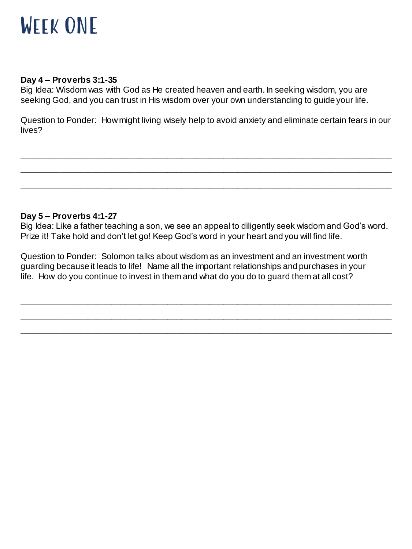

#### **Day 4 – Proverbs 3:1-35**

Big Idea: Wisdom was with God as He created heaven and earth. In seeking wisdom, you are seeking God, and you can trust in His wisdom over your own understanding to guide your life.

Question to Ponder: How might living wisely help to avoid anxiety and eliminate certain fears in our lives?

\_\_\_\_\_\_\_\_\_\_\_\_\_\_\_\_\_\_\_\_\_\_\_\_\_\_\_\_\_\_\_\_\_\_\_\_\_\_\_\_\_\_\_\_\_\_\_\_\_\_\_\_\_\_\_\_\_\_\_\_\_\_\_\_\_\_\_\_\_\_\_\_\_\_\_\_\_\_\_ \_\_\_\_\_\_\_\_\_\_\_\_\_\_\_\_\_\_\_\_\_\_\_\_\_\_\_\_\_\_\_\_\_\_\_\_\_\_\_\_\_\_\_\_\_\_\_\_\_\_\_\_\_\_\_\_\_\_\_\_\_\_\_\_\_\_\_\_\_\_\_\_\_\_\_\_\_\_\_

\_\_\_\_\_\_\_\_\_\_\_\_\_\_\_\_\_\_\_\_\_\_\_\_\_\_\_\_\_\_\_\_\_\_\_\_\_\_\_\_\_\_\_\_\_\_\_\_\_\_\_\_\_\_\_\_\_\_\_\_\_\_\_\_\_\_\_\_\_\_\_\_\_\_\_\_\_\_\_

#### **Day 5 – Proverbs 4:1-27**

Big Idea: Like a father teaching a son, we see an appeal to diligently seek wisdom and God's word. Prize it! Take hold and don't let go! Keep God's word in your heart and you will find life.

\_\_\_\_\_\_\_\_\_\_\_\_\_\_\_\_\_\_\_\_\_\_\_\_\_\_\_\_\_\_\_\_\_\_\_\_\_\_\_\_\_\_\_\_\_\_\_\_\_\_\_\_\_\_\_\_\_\_\_\_\_\_\_\_\_\_\_\_\_\_\_\_\_\_\_\_\_\_\_

\_\_\_\_\_\_\_\_\_\_\_\_\_\_\_\_\_\_\_\_\_\_\_\_\_\_\_\_\_\_\_\_\_\_\_\_\_\_\_\_\_\_\_\_\_\_\_\_\_\_\_\_\_\_\_\_\_\_\_\_\_\_\_\_\_\_\_\_\_\_\_\_\_\_\_\_\_\_\_ \_\_\_\_\_\_\_\_\_\_\_\_\_\_\_\_\_\_\_\_\_\_\_\_\_\_\_\_\_\_\_\_\_\_\_\_\_\_\_\_\_\_\_\_\_\_\_\_\_\_\_\_\_\_\_\_\_\_\_\_\_\_\_\_\_\_\_\_\_\_\_\_\_\_\_\_\_\_\_

Question to Ponder: Solomon talks about wisdom as an investment and an investment worth guarding because it leads to life! Name all the important relationships and purchases in your life. How do you continue to invest in them and what do you do to guard them at all cost?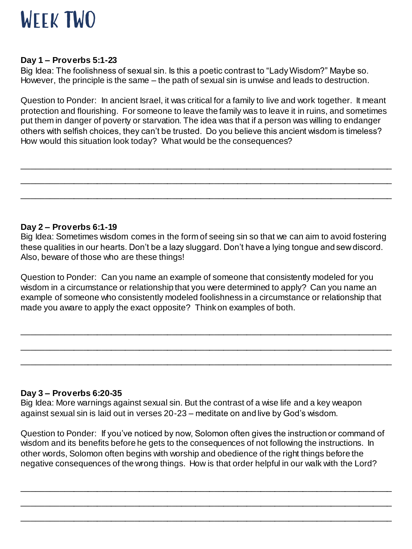

#### **Day 1 – Proverbs 5:1-23**

Big Idea: The foolishness of sexual sin. Is this a poetic contrast to "Lady Wisdom?" Maybe so. However, the principle is the same – the path of sexual sin is unwise and leads to destruction.

Question to Ponder: In ancient Israel, it was critical for a family to live and work together. It meant protection and flourishing. For someone to leave the family was to leave it in ruins, and sometimes put them in danger of poverty or starvation. The idea was that if a person was willing to endanger others with selfish choices, they can't be trusted. Do you believe this ancient wisdom is timeless? How would this situation look today? What would be the consequences?

\_\_\_\_\_\_\_\_\_\_\_\_\_\_\_\_\_\_\_\_\_\_\_\_\_\_\_\_\_\_\_\_\_\_\_\_\_\_\_\_\_\_\_\_\_\_\_\_\_\_\_\_\_\_\_\_\_\_\_\_\_\_\_\_\_\_\_\_\_\_\_\_\_\_\_\_\_\_\_ \_\_\_\_\_\_\_\_\_\_\_\_\_\_\_\_\_\_\_\_\_\_\_\_\_\_\_\_\_\_\_\_\_\_\_\_\_\_\_\_\_\_\_\_\_\_\_\_\_\_\_\_\_\_\_\_\_\_\_\_\_\_\_\_\_\_\_\_\_\_\_\_\_\_\_\_\_\_\_

\_\_\_\_\_\_\_\_\_\_\_\_\_\_\_\_\_\_\_\_\_\_\_\_\_\_\_\_\_\_\_\_\_\_\_\_\_\_\_\_\_\_\_\_\_\_\_\_\_\_\_\_\_\_\_\_\_\_\_\_\_\_\_\_\_\_\_\_\_\_\_\_\_\_\_\_\_\_\_

### **Day 2 – Proverbs 6:1-19**

Big Idea: Sometimes wisdom comes in the form of seeing sin so that we can aim to avoid fostering these qualities in our hearts. Don't be a lazy sluggard. Don't have a lying tongue and sew discord. Also, beware of those who are these things!

Question to Ponder: Can you name an example of someone that consistently modeled for you wisdom in a circumstance or relationship that you were determined to apply? Can you name an example of someone who consistently modeled foolishness in a circumstance or relationship that made you aware to apply the exact opposite? Think on examples of both.

\_\_\_\_\_\_\_\_\_\_\_\_\_\_\_\_\_\_\_\_\_\_\_\_\_\_\_\_\_\_\_\_\_\_\_\_\_\_\_\_\_\_\_\_\_\_\_\_\_\_\_\_\_\_\_\_\_\_\_\_\_\_\_\_\_\_\_\_\_\_\_\_\_\_\_\_\_\_\_

\_\_\_\_\_\_\_\_\_\_\_\_\_\_\_\_\_\_\_\_\_\_\_\_\_\_\_\_\_\_\_\_\_\_\_\_\_\_\_\_\_\_\_\_\_\_\_\_\_\_\_\_\_\_\_\_\_\_\_\_\_\_\_\_\_\_\_\_\_\_\_\_\_\_\_\_\_\_\_ \_\_\_\_\_\_\_\_\_\_\_\_\_\_\_\_\_\_\_\_\_\_\_\_\_\_\_\_\_\_\_\_\_\_\_\_\_\_\_\_\_\_\_\_\_\_\_\_\_\_\_\_\_\_\_\_\_\_\_\_\_\_\_\_\_\_\_\_\_\_\_\_\_\_\_\_\_\_\_

#### **Day 3 – Proverbs 6:20-35**

Big Idea: More warnings against sexual sin. But the contrast of a wise life and a key weapon against sexual sin is laid out in verses 20-23 – meditate on and live by God's wisdom.

Question to Ponder: If you've noticed by now, Solomon often gives the instruction or command of wisdom and its benefits before he gets to the consequences of not following the instructions. In other words, Solomon often begins with worship and obedience of the right things before the negative consequences of the wrong things. How is that order helpful in our walk with the Lord?

\_\_\_\_\_\_\_\_\_\_\_\_\_\_\_\_\_\_\_\_\_\_\_\_\_\_\_\_\_\_\_\_\_\_\_\_\_\_\_\_\_\_\_\_\_\_\_\_\_\_\_\_\_\_\_\_\_\_\_\_\_\_\_\_\_\_\_\_\_\_\_\_\_\_\_\_\_\_\_ \_\_\_\_\_\_\_\_\_\_\_\_\_\_\_\_\_\_\_\_\_\_\_\_\_\_\_\_\_\_\_\_\_\_\_\_\_\_\_\_\_\_\_\_\_\_\_\_\_\_\_\_\_\_\_\_\_\_\_\_\_\_\_\_\_\_\_\_\_\_\_\_\_\_\_\_\_\_\_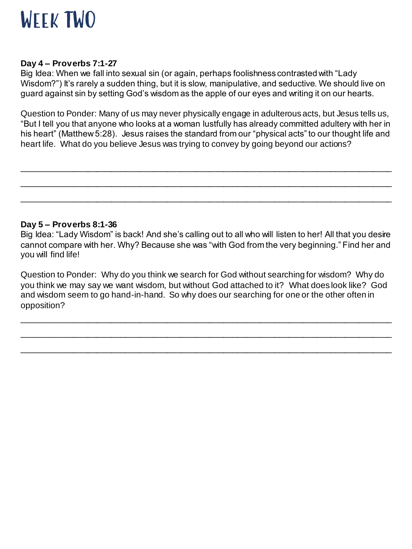

#### **Day 4 – Proverbs 7:1-27**

Big Idea: When we fall into sexual sin (or again, perhaps foolishness contrasted with "Lady Wisdom?") It's rarely a sudden thing, but it is slow, manipulative, and seductive. We should live on guard against sin by setting God's wisdom as the apple of our eyes and writing it on our hearts.

Question to Ponder: Many of us may never physically engage in adulterous acts, but Jesus tells us, "But I tell you that anyone who looks at a woman lustfully has already committed adultery with her in his heart" (Matthew 5:28). Jesus raises the standard from our "physical acts" to our thought life and heart life. What do you believe Jesus was trying to convey by going beyond our actions?

\_\_\_\_\_\_\_\_\_\_\_\_\_\_\_\_\_\_\_\_\_\_\_\_\_\_\_\_\_\_\_\_\_\_\_\_\_\_\_\_\_\_\_\_\_\_\_\_\_\_\_\_\_\_\_\_\_\_\_\_\_\_\_\_\_\_\_\_\_\_\_\_\_\_\_\_\_\_\_

\_\_\_\_\_\_\_\_\_\_\_\_\_\_\_\_\_\_\_\_\_\_\_\_\_\_\_\_\_\_\_\_\_\_\_\_\_\_\_\_\_\_\_\_\_\_\_\_\_\_\_\_\_\_\_\_\_\_\_\_\_\_\_\_\_\_\_\_\_\_\_\_\_\_\_\_\_\_\_

\_\_\_\_\_\_\_\_\_\_\_\_\_\_\_\_\_\_\_\_\_\_\_\_\_\_\_\_\_\_\_\_\_\_\_\_\_\_\_\_\_\_\_\_\_\_\_\_\_\_\_\_\_\_\_\_\_\_\_\_\_\_\_\_\_\_\_\_\_\_\_\_\_\_\_\_\_\_\_

### **Day 5 – Proverbs 8:1-36**

Big Idea: "Lady Wisdom" is back! And she's calling out to all who will listen to her! All that you desire cannot compare with her. Why? Because she was "with God from the very beginning." Find her and you will find life!

Question to Ponder: Why do you think we search for God without searching for wisdom? Why do you think we may say we want wisdom, but without God attached to it? What does look like? God and wisdom seem to go hand-in-hand. So why does our searching for one or the other often in opposition?

\_\_\_\_\_\_\_\_\_\_\_\_\_\_\_\_\_\_\_\_\_\_\_\_\_\_\_\_\_\_\_\_\_\_\_\_\_\_\_\_\_\_\_\_\_\_\_\_\_\_\_\_\_\_\_\_\_\_\_\_\_\_\_\_\_\_\_\_\_\_\_\_\_\_\_\_\_\_\_ \_\_\_\_\_\_\_\_\_\_\_\_\_\_\_\_\_\_\_\_\_\_\_\_\_\_\_\_\_\_\_\_\_\_\_\_\_\_\_\_\_\_\_\_\_\_\_\_\_\_\_\_\_\_\_\_\_\_\_\_\_\_\_\_\_\_\_\_\_\_\_\_\_\_\_\_\_\_\_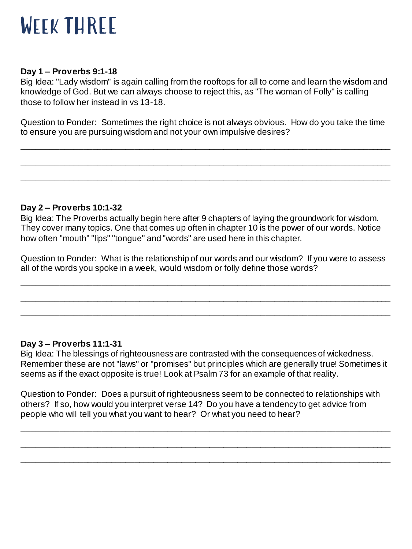# WEEK THREE

# **Day 1 – Proverbs 9:1-18**

Big Idea: "Lady wisdom" is again calling from the rooftops for all to come and learn the wisdom and knowledge of God. But we can always choose to reject this, as "The woman of Folly" is calling those to follow her instead in vs 13-18.

Question to Ponder: Sometimes the right choice is not always obvious. How do you take the time to ensure you are pursuing wisdom and not your own impulsive desires?

\_\_\_\_\_\_\_\_\_\_\_\_\_\_\_\_\_\_\_\_\_\_\_\_\_\_\_\_\_\_\_\_\_\_\_\_\_\_\_\_\_\_\_\_\_\_\_\_\_\_\_\_\_\_\_\_\_\_\_\_\_\_\_\_\_\_\_\_\_\_\_\_\_\_\_\_\_\_\_

\_\_\_\_\_\_\_\_\_\_\_\_\_\_\_\_\_\_\_\_\_\_\_\_\_\_\_\_\_\_\_\_\_\_\_\_\_\_\_\_\_\_\_\_\_\_\_\_\_\_\_\_\_\_\_\_\_\_\_\_\_\_\_\_\_\_\_\_\_\_\_\_\_\_\_\_\_\_\_

\_\_\_\_\_\_\_\_\_\_\_\_\_\_\_\_\_\_\_\_\_\_\_\_\_\_\_\_\_\_\_\_\_\_\_\_\_\_\_\_\_\_\_\_\_\_\_\_\_\_\_\_\_\_\_\_\_\_\_\_\_\_\_\_\_\_\_\_\_\_\_\_\_\_\_\_\_\_\_

# **Day 2 – Proverbs 10:1-32**

Big Idea: The Proverbs actually begin here after 9 chapters of laying the groundwork for wisdom. They cover many topics. One that comes up often in chapter 10 is the power of our words. Notice how often "mouth" "lips" "tongue" and "words" are used here in this chapter.

Question to Ponder: What is the relationship of our words and our wisdom? If you were to assess all of the words you spoke in a week, would wisdom or folly define those words?

\_\_\_\_\_\_\_\_\_\_\_\_\_\_\_\_\_\_\_\_\_\_\_\_\_\_\_\_\_\_\_\_\_\_\_\_\_\_\_\_\_\_\_\_\_\_\_\_\_\_\_\_\_\_\_\_\_\_\_\_\_\_\_\_\_\_\_\_\_\_\_\_\_\_\_\_\_\_\_

\_\_\_\_\_\_\_\_\_\_\_\_\_\_\_\_\_\_\_\_\_\_\_\_\_\_\_\_\_\_\_\_\_\_\_\_\_\_\_\_\_\_\_\_\_\_\_\_\_\_\_\_\_\_\_\_\_\_\_\_\_\_\_\_\_\_\_\_\_\_\_\_\_\_\_\_\_\_\_ \_\_\_\_\_\_\_\_\_\_\_\_\_\_\_\_\_\_\_\_\_\_\_\_\_\_\_\_\_\_\_\_\_\_\_\_\_\_\_\_\_\_\_\_\_\_\_\_\_\_\_\_\_\_\_\_\_\_\_\_\_\_\_\_\_\_\_\_\_\_\_\_\_\_\_\_\_\_\_

# **Day 3 – Proverbs 11:1-31**

Big Idea: The blessings of righteousness are contrasted with the consequences of wickedness. Remember these are not "laws" or "promises" but principles which are generally true! Sometimes it seems as if the exact opposite is true! Look at Psalm 73 for an example of that reality.

Question to Ponder: Does a pursuit of righteousness seem to be connected to relationships with others? If so, how would you interpret verse 14? Do you have a tendency to get advice from people who will tell you what you want to hear? Or what you need to hear?

\_\_\_\_\_\_\_\_\_\_\_\_\_\_\_\_\_\_\_\_\_\_\_\_\_\_\_\_\_\_\_\_\_\_\_\_\_\_\_\_\_\_\_\_\_\_\_\_\_\_\_\_\_\_\_\_\_\_\_\_\_\_\_\_\_\_\_\_\_\_\_\_\_\_\_\_\_\_\_

\_\_\_\_\_\_\_\_\_\_\_\_\_\_\_\_\_\_\_\_\_\_\_\_\_\_\_\_\_\_\_\_\_\_\_\_\_\_\_\_\_\_\_\_\_\_\_\_\_\_\_\_\_\_\_\_\_\_\_\_\_\_\_\_\_\_\_\_\_\_\_\_\_\_\_\_\_\_\_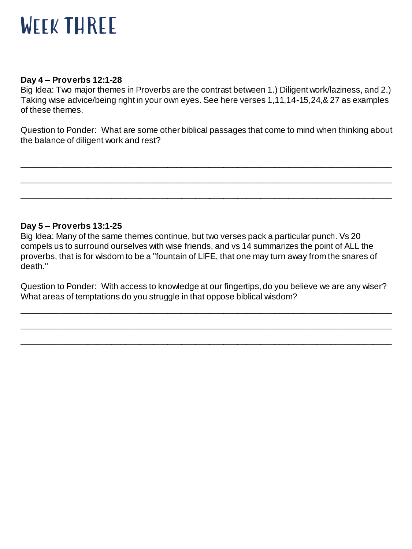# WEEK THREE

## **Day 4 – Proverbs 12:1-28**

Big Idea: Two major themes in Proverbs are the contrast between 1.) Diligent work/laziness, and 2.) Taking wise advice/being right in your own eyes. See here verses 1,11,14-15,24,& 27 as examples of these themes.

Question to Ponder: What are some other biblical passages that come to mind when thinking about the balance of diligent work and rest?

\_\_\_\_\_\_\_\_\_\_\_\_\_\_\_\_\_\_\_\_\_\_\_\_\_\_\_\_\_\_\_\_\_\_\_\_\_\_\_\_\_\_\_\_\_\_\_\_\_\_\_\_\_\_\_\_\_\_\_\_\_\_\_\_\_\_\_\_\_\_\_\_\_\_\_\_\_\_\_

\_\_\_\_\_\_\_\_\_\_\_\_\_\_\_\_\_\_\_\_\_\_\_\_\_\_\_\_\_\_\_\_\_\_\_\_\_\_\_\_\_\_\_\_\_\_\_\_\_\_\_\_\_\_\_\_\_\_\_\_\_\_\_\_\_\_\_\_\_\_\_\_\_\_\_\_\_\_\_ \_\_\_\_\_\_\_\_\_\_\_\_\_\_\_\_\_\_\_\_\_\_\_\_\_\_\_\_\_\_\_\_\_\_\_\_\_\_\_\_\_\_\_\_\_\_\_\_\_\_\_\_\_\_\_\_\_\_\_\_\_\_\_\_\_\_\_\_\_\_\_\_\_\_\_\_\_\_\_

# **Day 5 – Proverbs 13:1-25**

Big Idea: Many of the same themes continue, but two verses pack a particular punch. Vs 20 compels us to surround ourselves with wise friends, and vs 14 summarizes the point of ALL the proverbs, that is for wisdom to be a "fountain of LIFE, that one may turn away from the snares of death."

Question to Ponder: With access to knowledge at our fingertips, do you believe we are any wiser? What areas of temptations do you struggle in that oppose biblical wisdom?

\_\_\_\_\_\_\_\_\_\_\_\_\_\_\_\_\_\_\_\_\_\_\_\_\_\_\_\_\_\_\_\_\_\_\_\_\_\_\_\_\_\_\_\_\_\_\_\_\_\_\_\_\_\_\_\_\_\_\_\_\_\_\_\_\_\_\_\_\_\_\_\_\_\_\_\_\_\_\_

\_\_\_\_\_\_\_\_\_\_\_\_\_\_\_\_\_\_\_\_\_\_\_\_\_\_\_\_\_\_\_\_\_\_\_\_\_\_\_\_\_\_\_\_\_\_\_\_\_\_\_\_\_\_\_\_\_\_\_\_\_\_\_\_\_\_\_\_\_\_\_\_\_\_\_\_\_\_\_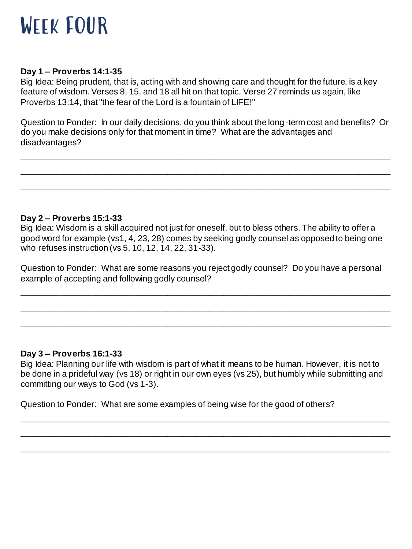

## **Day 1 – Proverbs 14:1-35**

Big Idea: Being prudent, that is, acting with and showing care and thought for the future, is a key feature of wisdom. Verses 8, 15, and 18 all hit on that topic. Verse 27 reminds us again, like Proverbs 13:14, that "the fear of the Lord is a fountain of LIFE!"

Question to Ponder: In our daily decisions, do you think about the long-term cost and benefits? Or do you make decisions only for that moment in time? What are the advantages and disadvantages?

\_\_\_\_\_\_\_\_\_\_\_\_\_\_\_\_\_\_\_\_\_\_\_\_\_\_\_\_\_\_\_\_\_\_\_\_\_\_\_\_\_\_\_\_\_\_\_\_\_\_\_\_\_\_\_\_\_\_\_\_\_\_\_\_\_\_\_\_\_\_\_\_\_\_\_\_\_\_\_ \_\_\_\_\_\_\_\_\_\_\_\_\_\_\_\_\_\_\_\_\_\_\_\_\_\_\_\_\_\_\_\_\_\_\_\_\_\_\_\_\_\_\_\_\_\_\_\_\_\_\_\_\_\_\_\_\_\_\_\_\_\_\_\_\_\_\_\_\_\_\_\_\_\_\_\_\_\_\_

\_\_\_\_\_\_\_\_\_\_\_\_\_\_\_\_\_\_\_\_\_\_\_\_\_\_\_\_\_\_\_\_\_\_\_\_\_\_\_\_\_\_\_\_\_\_\_\_\_\_\_\_\_\_\_\_\_\_\_\_\_\_\_\_\_\_\_\_\_\_\_\_\_\_\_\_\_\_\_

**Day 2 – Proverbs 15:1-33**

Big Idea: Wisdom is a skill acquired not just for oneself, but to bless others. The ability to offer a good word for example (vs1, 4, 23, 28) comes by seeking godly counsel as opposed to being one who refuses instruction (vs 5, 10, 12, 14, 22, 31-33).

Question to Ponder: What are some reasons you reject godly counsel? Do you have a personal example of accepting and following godly counsel?

\_\_\_\_\_\_\_\_\_\_\_\_\_\_\_\_\_\_\_\_\_\_\_\_\_\_\_\_\_\_\_\_\_\_\_\_\_\_\_\_\_\_\_\_\_\_\_\_\_\_\_\_\_\_\_\_\_\_\_\_\_\_\_\_\_\_\_\_\_\_\_\_\_\_\_\_\_\_\_

\_\_\_\_\_\_\_\_\_\_\_\_\_\_\_\_\_\_\_\_\_\_\_\_\_\_\_\_\_\_\_\_\_\_\_\_\_\_\_\_\_\_\_\_\_\_\_\_\_\_\_\_\_\_\_\_\_\_\_\_\_\_\_\_\_\_\_\_\_\_\_\_\_\_\_\_\_\_\_

\_\_\_\_\_\_\_\_\_\_\_\_\_\_\_\_\_\_\_\_\_\_\_\_\_\_\_\_\_\_\_\_\_\_\_\_\_\_\_\_\_\_\_\_\_\_\_\_\_\_\_\_\_\_\_\_\_\_\_\_\_\_\_\_\_\_\_\_\_\_\_\_\_\_\_\_\_\_\_

# **Day 3 – Proverbs 16:1-33**

Big Idea: Planning our life with wisdom is part of what it means to be human. However, it is not to be done in a prideful way (vs 18) or right in our own eyes (vs 25), but humbly while submitting and committing our ways to God (vs 1-3).

\_\_\_\_\_\_\_\_\_\_\_\_\_\_\_\_\_\_\_\_\_\_\_\_\_\_\_\_\_\_\_\_\_\_\_\_\_\_\_\_\_\_\_\_\_\_\_\_\_\_\_\_\_\_\_\_\_\_\_\_\_\_\_\_\_\_\_\_\_\_\_\_\_\_\_\_\_\_\_ \_\_\_\_\_\_\_\_\_\_\_\_\_\_\_\_\_\_\_\_\_\_\_\_\_\_\_\_\_\_\_\_\_\_\_\_\_\_\_\_\_\_\_\_\_\_\_\_\_\_\_\_\_\_\_\_\_\_\_\_\_\_\_\_\_\_\_\_\_\_\_\_\_\_\_\_\_\_\_

\_\_\_\_\_\_\_\_\_\_\_\_\_\_\_\_\_\_\_\_\_\_\_\_\_\_\_\_\_\_\_\_\_\_\_\_\_\_\_\_\_\_\_\_\_\_\_\_\_\_\_\_\_\_\_\_\_\_\_\_\_\_\_\_\_\_\_\_\_\_\_\_\_\_\_\_\_\_\_

Question to Ponder: What are some examples of being wise for the good of others?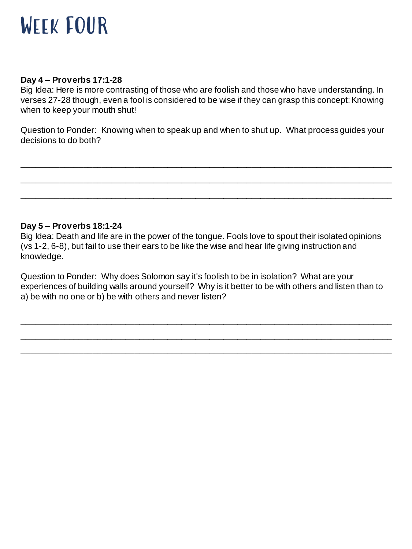

#### **Day 4 – Proverbs 17:1-28**

Big Idea: Here is more contrasting of those who are foolish and those who have understanding. In verses 27-28 though, even a fool is considered to be wise if they can grasp this concept: Knowing when to keep your mouth shut!

Question to Ponder: Knowing when to speak up and when to shut up. What process guides your decisions to do both?

\_\_\_\_\_\_\_\_\_\_\_\_\_\_\_\_\_\_\_\_\_\_\_\_\_\_\_\_\_\_\_\_\_\_\_\_\_\_\_\_\_\_\_\_\_\_\_\_\_\_\_\_\_\_\_\_\_\_\_\_\_\_\_\_\_\_\_\_\_\_\_\_\_\_\_\_\_\_\_

\_\_\_\_\_\_\_\_\_\_\_\_\_\_\_\_\_\_\_\_\_\_\_\_\_\_\_\_\_\_\_\_\_\_\_\_\_\_\_\_\_\_\_\_\_\_\_\_\_\_\_\_\_\_\_\_\_\_\_\_\_\_\_\_\_\_\_\_\_\_\_\_\_\_\_\_\_\_\_ \_\_\_\_\_\_\_\_\_\_\_\_\_\_\_\_\_\_\_\_\_\_\_\_\_\_\_\_\_\_\_\_\_\_\_\_\_\_\_\_\_\_\_\_\_\_\_\_\_\_\_\_\_\_\_\_\_\_\_\_\_\_\_\_\_\_\_\_\_\_\_\_\_\_\_\_\_\_\_

# **Day 5 – Proverbs 18:1-24**

Big Idea: Death and life are in the power of the tongue. Fools love to spout their isolated opinions (vs 1-2, 6-8), but fail to use their ears to be like the wise and hear life giving instruction and knowledge.

Question to Ponder: Why does Solomon say it's foolish to be in isolation? What are your experiences of building walls around yourself? Why is it better to be with others and listen than to a) be with no one or b) be with others and never listen?

\_\_\_\_\_\_\_\_\_\_\_\_\_\_\_\_\_\_\_\_\_\_\_\_\_\_\_\_\_\_\_\_\_\_\_\_\_\_\_\_\_\_\_\_\_\_\_\_\_\_\_\_\_\_\_\_\_\_\_\_\_\_\_\_\_\_\_\_\_\_\_\_\_\_\_\_\_\_\_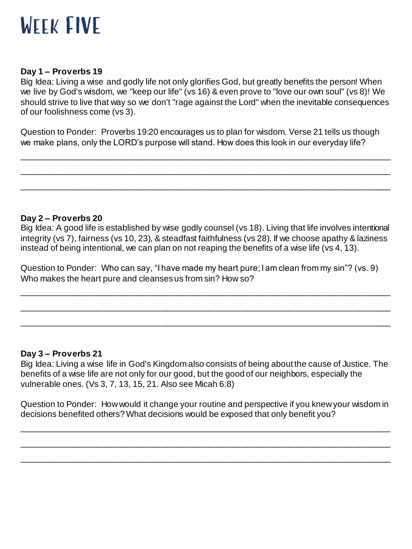

## **Day 1 – Proverbs 19**

Big Idea: Living a wise and godly life not only glorifies God, but greatly benefits the person! When we live by God's wisdom, we "keep our life" (vs 16) & even prove to "love our own soul" (vs 8)! We should strive to live that way so we don't "rage against the Lord" when the inevitable consequences of our foolishness come (vs 3).

Question to Ponder: Proverbs 19:20 encourages us to plan for wisdom. Verse 21 tells us though we make plans, only the LORD's purpose will stand. How does this look in our everyday life?

\_\_\_\_\_\_\_\_\_\_\_\_\_\_\_\_\_\_\_\_\_\_\_\_\_\_\_\_\_\_\_\_\_\_\_\_\_\_\_\_\_\_\_\_\_\_\_\_\_\_\_\_\_\_\_\_\_\_\_\_\_\_\_\_\_\_\_\_\_\_\_\_\_\_\_\_\_\_\_ \_\_\_\_\_\_\_\_\_\_\_\_\_\_\_\_\_\_\_\_\_\_\_\_\_\_\_\_\_\_\_\_\_\_\_\_\_\_\_\_\_\_\_\_\_\_\_\_\_\_\_\_\_\_\_\_\_\_\_\_\_\_\_\_\_\_\_\_\_\_\_\_\_\_\_\_\_\_\_

\_\_\_\_\_\_\_\_\_\_\_\_\_\_\_\_\_\_\_\_\_\_\_\_\_\_\_\_\_\_\_\_\_\_\_\_\_\_\_\_\_\_\_\_\_\_\_\_\_\_\_\_\_\_\_\_\_\_\_\_\_\_\_\_\_\_\_\_\_\_\_\_\_\_\_\_\_\_\_

### **Day 2 – Proverbs 20**

Big Idea: A good life is established by wise godly counsel (vs 18). Living that life involves intentional integrity (vs 7), fairness (vs 10, 23), & steadfast faithfulness (vs 28). If we choose apathy & laziness instead of being intentional, we can plan on not reaping the benefits of a wise life (vs 4, 13).

Question to Ponder: Who can say, "I have made my heart pure; I am clean from my sin"? (vs. 9) Who makes the heart pure and cleanses us from sin? How so?

\_\_\_\_\_\_\_\_\_\_\_\_\_\_\_\_\_\_\_\_\_\_\_\_\_\_\_\_\_\_\_\_\_\_\_\_\_\_\_\_\_\_\_\_\_\_\_\_\_\_\_\_\_\_\_\_\_\_\_\_\_\_\_\_\_\_\_\_\_\_\_\_\_\_\_\_\_\_\_

\_\_\_\_\_\_\_\_\_\_\_\_\_\_\_\_\_\_\_\_\_\_\_\_\_\_\_\_\_\_\_\_\_\_\_\_\_\_\_\_\_\_\_\_\_\_\_\_\_\_\_\_\_\_\_\_\_\_\_\_\_\_\_\_\_\_\_\_\_\_\_\_\_\_\_\_\_\_\_

\_\_\_\_\_\_\_\_\_\_\_\_\_\_\_\_\_\_\_\_\_\_\_\_\_\_\_\_\_\_\_\_\_\_\_\_\_\_\_\_\_\_\_\_\_\_\_\_\_\_\_\_\_\_\_\_\_\_\_\_\_\_\_\_\_\_\_\_\_\_\_\_\_\_\_\_\_\_\_

#### **Day 3 – Proverbs 21**

Big Idea: Living a wise life in God's Kingdom also consists of being about the cause of Justice. The benefits of a wise life are not only for our good, but the good of our neighbors, especially the vulnerable ones. (Vs 3, 7, 13, 15, 21. Also see Micah 6:8)

Question to Ponder: How would it change your routine and perspective if you knew your wisdom in decisions benefited others? What decisions would be exposed that only benefit you?

\_\_\_\_\_\_\_\_\_\_\_\_\_\_\_\_\_\_\_\_\_\_\_\_\_\_\_\_\_\_\_\_\_\_\_\_\_\_\_\_\_\_\_\_\_\_\_\_\_\_\_\_\_\_\_\_\_\_\_\_\_\_\_\_\_\_\_\_\_\_\_\_\_\_\_\_\_\_\_

\_\_\_\_\_\_\_\_\_\_\_\_\_\_\_\_\_\_\_\_\_\_\_\_\_\_\_\_\_\_\_\_\_\_\_\_\_\_\_\_\_\_\_\_\_\_\_\_\_\_\_\_\_\_\_\_\_\_\_\_\_\_\_\_\_\_\_\_\_\_\_\_\_\_\_\_\_\_\_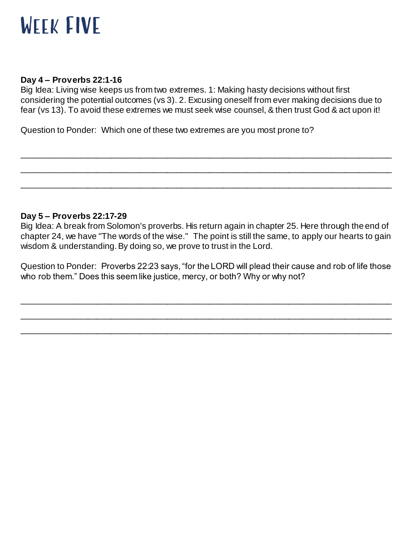# Week FIVE

# **Day 4 – Proverbs 22:1-16**

Big Idea: Living wise keeps us from two extremes. 1: Making hasty decisions without first considering the potential outcomes (vs 3). 2. Excusing oneself from ever making decisions due to fear (vs 13). To avoid these extremes we must seek wise counsel, & then trust God & act upon it!

\_\_\_\_\_\_\_\_\_\_\_\_\_\_\_\_\_\_\_\_\_\_\_\_\_\_\_\_\_\_\_\_\_\_\_\_\_\_\_\_\_\_\_\_\_\_\_\_\_\_\_\_\_\_\_\_\_\_\_\_\_\_\_\_\_\_\_\_\_\_\_\_\_\_\_\_\_\_\_ \_\_\_\_\_\_\_\_\_\_\_\_\_\_\_\_\_\_\_\_\_\_\_\_\_\_\_\_\_\_\_\_\_\_\_\_\_\_\_\_\_\_\_\_\_\_\_\_\_\_\_\_\_\_\_\_\_\_\_\_\_\_\_\_\_\_\_\_\_\_\_\_\_\_\_\_\_\_\_

\_\_\_\_\_\_\_\_\_\_\_\_\_\_\_\_\_\_\_\_\_\_\_\_\_\_\_\_\_\_\_\_\_\_\_\_\_\_\_\_\_\_\_\_\_\_\_\_\_\_\_\_\_\_\_\_\_\_\_\_\_\_\_\_\_\_\_\_\_\_\_\_\_\_\_\_\_\_\_

Question to Ponder: Which one of these two extremes are you most prone to?

# **Day 5 – Proverbs 22:17-29**

Big Idea: A break from Solomon's proverbs. His return again in chapter 25. Here through the end of chapter 24, we have "The words of the wise." The point is still the same, to apply our hearts to gain wisdom & understanding. By doing so, we prove to trust in the Lord.

Question to Ponder: Proverbs 22:23 says, "for the LORD will plead their cause and rob of life those who rob them." Does this seem like justice, mercy, or both? Why or why not?

\_\_\_\_\_\_\_\_\_\_\_\_\_\_\_\_\_\_\_\_\_\_\_\_\_\_\_\_\_\_\_\_\_\_\_\_\_\_\_\_\_\_\_\_\_\_\_\_\_\_\_\_\_\_\_\_\_\_\_\_\_\_\_\_\_\_\_\_\_\_\_\_\_\_\_\_\_\_\_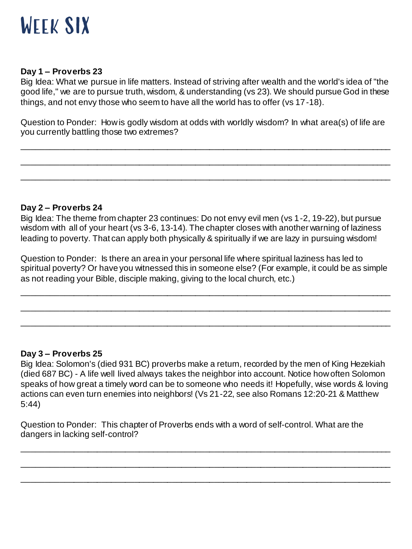

## **Day 1 – Proverbs 23**

Big Idea: What we pursue in life matters. Instead of striving after wealth and the world's idea of "the good life," we are to pursue truth, wisdom, & understanding (vs 23). We should pursue God in these things, and not envy those who seem to have all the world has to offer (vs 17-18).

Question to Ponder: How is godly wisdom at odds with worldly wisdom? In what area(s) of life are you currently battling those two extremes?

\_\_\_\_\_\_\_\_\_\_\_\_\_\_\_\_\_\_\_\_\_\_\_\_\_\_\_\_\_\_\_\_\_\_\_\_\_\_\_\_\_\_\_\_\_\_\_\_\_\_\_\_\_\_\_\_\_\_\_\_\_\_\_\_\_\_\_\_\_\_\_\_\_\_\_\_\_\_\_

\_\_\_\_\_\_\_\_\_\_\_\_\_\_\_\_\_\_\_\_\_\_\_\_\_\_\_\_\_\_\_\_\_\_\_\_\_\_\_\_\_\_\_\_\_\_\_\_\_\_\_\_\_\_\_\_\_\_\_\_\_\_\_\_\_\_\_\_\_\_\_\_\_\_\_\_\_\_\_

\_\_\_\_\_\_\_\_\_\_\_\_\_\_\_\_\_\_\_\_\_\_\_\_\_\_\_\_\_\_\_\_\_\_\_\_\_\_\_\_\_\_\_\_\_\_\_\_\_\_\_\_\_\_\_\_\_\_\_\_\_\_\_\_\_\_\_\_\_\_\_\_\_\_\_\_\_\_\_

# **Day 2 – Proverbs 24**

Big Idea: The theme from chapter 23 continues: Do not envy evil men (vs 1-2, 19-22), but pursue wisdom with all of your heart (vs 3-6, 13-14). The chapter closes with another warning of laziness leading to poverty. That can apply both physically & spiritually if we are lazy in pursuing wisdom!

Question to Ponder: Is there an area in your personal life where spiritual laziness has led to spiritual poverty? Or have you witnessed this in someone else? (For example, it could be as simple as not reading your Bible, disciple making, giving to the local church, etc.)

\_\_\_\_\_\_\_\_\_\_\_\_\_\_\_\_\_\_\_\_\_\_\_\_\_\_\_\_\_\_\_\_\_\_\_\_\_\_\_\_\_\_\_\_\_\_\_\_\_\_\_\_\_\_\_\_\_\_\_\_\_\_\_\_\_\_\_\_\_\_\_\_\_\_\_\_\_\_\_

\_\_\_\_\_\_\_\_\_\_\_\_\_\_\_\_\_\_\_\_\_\_\_\_\_\_\_\_\_\_\_\_\_\_\_\_\_\_\_\_\_\_\_\_\_\_\_\_\_\_\_\_\_\_\_\_\_\_\_\_\_\_\_\_\_\_\_\_\_\_\_\_\_\_\_\_\_\_\_

\_\_\_\_\_\_\_\_\_\_\_\_\_\_\_\_\_\_\_\_\_\_\_\_\_\_\_\_\_\_\_\_\_\_\_\_\_\_\_\_\_\_\_\_\_\_\_\_\_\_\_\_\_\_\_\_\_\_\_\_\_\_\_\_\_\_\_\_\_\_\_\_\_\_\_\_\_\_\_

#### **Day 3 – Proverbs 25**

Big Idea: Solomon's (died 931 BC) proverbs make a return, recorded by the men of King Hezekiah (died 687 BC) - A life well lived always takes the neighbor into account. Notice how often Solomon speaks of how great a timely word can be to someone who needs it! Hopefully, wise words & loving actions can even turn enemies into neighbors! (Vs 21-22, see also Romans 12:20-21 & Matthew 5:44)

\_\_\_\_\_\_\_\_\_\_\_\_\_\_\_\_\_\_\_\_\_\_\_\_\_\_\_\_\_\_\_\_\_\_\_\_\_\_\_\_\_\_\_\_\_\_\_\_\_\_\_\_\_\_\_\_\_\_\_\_\_\_\_\_\_\_\_\_\_\_\_\_\_\_\_\_\_\_\_

\_\_\_\_\_\_\_\_\_\_\_\_\_\_\_\_\_\_\_\_\_\_\_\_\_\_\_\_\_\_\_\_\_\_\_\_\_\_\_\_\_\_\_\_\_\_\_\_\_\_\_\_\_\_\_\_\_\_\_\_\_\_\_\_\_\_\_\_\_\_\_\_\_\_\_\_\_\_\_

\_\_\_\_\_\_\_\_\_\_\_\_\_\_\_\_\_\_\_\_\_\_\_\_\_\_\_\_\_\_\_\_\_\_\_\_\_\_\_\_\_\_\_\_\_\_\_\_\_\_\_\_\_\_\_\_\_\_\_\_\_\_\_\_\_\_\_\_\_\_\_\_\_\_\_\_\_\_\_

Question to Ponder: This chapter of Proverbs ends with a word of self-control. What are the dangers in lacking self-control?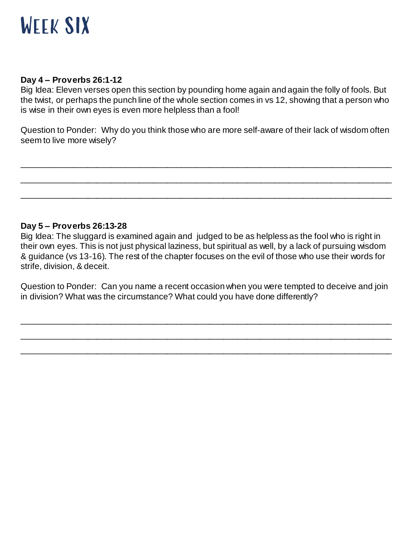

### **Day 4 – Proverbs 26:1-12**

Big Idea: Eleven verses open this section by pounding home again and again the folly of fools. But the twist, or perhaps the punch line of the whole section comes in vs 12, showing that a person who is wise in their own eyes is even more helpless than a fool!

Question to Ponder: Why do you think those who are more self-aware of their lack of wisdom often seem to live more wisely?

\_\_\_\_\_\_\_\_\_\_\_\_\_\_\_\_\_\_\_\_\_\_\_\_\_\_\_\_\_\_\_\_\_\_\_\_\_\_\_\_\_\_\_\_\_\_\_\_\_\_\_\_\_\_\_\_\_\_\_\_\_\_\_\_\_\_\_\_\_\_\_\_\_\_\_\_\_\_\_

\_\_\_\_\_\_\_\_\_\_\_\_\_\_\_\_\_\_\_\_\_\_\_\_\_\_\_\_\_\_\_\_\_\_\_\_\_\_\_\_\_\_\_\_\_\_\_\_\_\_\_\_\_\_\_\_\_\_\_\_\_\_\_\_\_\_\_\_\_\_\_\_\_\_\_\_\_\_\_ \_\_\_\_\_\_\_\_\_\_\_\_\_\_\_\_\_\_\_\_\_\_\_\_\_\_\_\_\_\_\_\_\_\_\_\_\_\_\_\_\_\_\_\_\_\_\_\_\_\_\_\_\_\_\_\_\_\_\_\_\_\_\_\_\_\_\_\_\_\_\_\_\_\_\_\_\_\_\_

# **Day 5 – Proverbs 26:13-28**

Big Idea: The sluggard is examined again and judged to be as helpless as the fool who is right in their own eyes. This is not just physical laziness, but spiritual as well, by a lack of pursuing wisdom & guidance (vs 13-16). The rest of the chapter focuses on the evil of those who use their words for strife, division, & deceit.

Question to Ponder: Can you name a recent occasion when you were tempted to deceive and join in division? What was the circumstance? What could you have done differently?

\_\_\_\_\_\_\_\_\_\_\_\_\_\_\_\_\_\_\_\_\_\_\_\_\_\_\_\_\_\_\_\_\_\_\_\_\_\_\_\_\_\_\_\_\_\_\_\_\_\_\_\_\_\_\_\_\_\_\_\_\_\_\_\_\_\_\_\_\_\_\_\_\_\_\_\_\_\_\_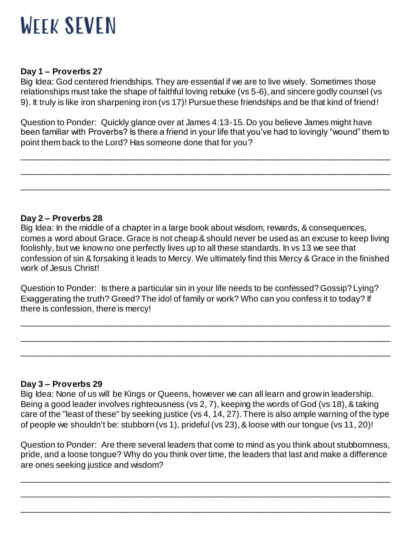

# **Day 1 – Proverbs 27**

Big Idea: God centered friendships. They are essential if we are to live wisely. Sometimes those relationships must take the shape of faithful loving rebuke (vs 5-6), and sincere godly counsel (vs 9). It truly is like iron sharpening iron (vs 17)! Pursue these friendships and be that kind of friend!

Question to Ponder: Quickly glance over at James 4:13-15. Do you believe James might have been familiar with Proverbs? Is there a friend in your life that you've had to lovingly "wound" them to point them back to the Lord? Has someone done that for you?

\_\_\_\_\_\_\_\_\_\_\_\_\_\_\_\_\_\_\_\_\_\_\_\_\_\_\_\_\_\_\_\_\_\_\_\_\_\_\_\_\_\_\_\_\_\_\_\_\_\_\_\_\_\_\_\_\_\_\_\_\_\_\_\_\_\_\_\_\_\_\_\_\_\_\_\_\_\_\_ \_\_\_\_\_\_\_\_\_\_\_\_\_\_\_\_\_\_\_\_\_\_\_\_\_\_\_\_\_\_\_\_\_\_\_\_\_\_\_\_\_\_\_\_\_\_\_\_\_\_\_\_\_\_\_\_\_\_\_\_\_\_\_\_\_\_\_\_\_\_\_\_\_\_\_\_\_\_\_

\_\_\_\_\_\_\_\_\_\_\_\_\_\_\_\_\_\_\_\_\_\_\_\_\_\_\_\_\_\_\_\_\_\_\_\_\_\_\_\_\_\_\_\_\_\_\_\_\_\_\_\_\_\_\_\_\_\_\_\_\_\_\_\_\_\_\_\_\_\_\_\_\_\_\_\_\_\_\_

# **Day 2 – Proverbs 28**

Big Idea: In the middle of a chapter in a large book about wisdom, rewards, & consequences, comes a word about Grace. Grace is not cheap & should never be used as an excuse to keep living foolishly, but we know no one perfectly lives up to all these standards. In vs 13 we see that confession of sin & forsaking it leads to Mercy. We ultimately find this Mercy & Grace in the finished work of Jesus Christ!

Question to Ponder: Is there a particular sin in your life needs to be confessed? Gossip? Lying? Exaggerating the truth? Greed? The idol of family or work? Who can you confess it to today? If there is confession, there is mercy!

\_\_\_\_\_\_\_\_\_\_\_\_\_\_\_\_\_\_\_\_\_\_\_\_\_\_\_\_\_\_\_\_\_\_\_\_\_\_\_\_\_\_\_\_\_\_\_\_\_\_\_\_\_\_\_\_\_\_\_\_\_\_\_\_\_\_\_\_\_\_\_\_\_\_\_\_\_\_\_

\_\_\_\_\_\_\_\_\_\_\_\_\_\_\_\_\_\_\_\_\_\_\_\_\_\_\_\_\_\_\_\_\_\_\_\_\_\_\_\_\_\_\_\_\_\_\_\_\_\_\_\_\_\_\_\_\_\_\_\_\_\_\_\_\_\_\_\_\_\_\_\_\_\_\_\_\_\_\_ \_\_\_\_\_\_\_\_\_\_\_\_\_\_\_\_\_\_\_\_\_\_\_\_\_\_\_\_\_\_\_\_\_\_\_\_\_\_\_\_\_\_\_\_\_\_\_\_\_\_\_\_\_\_\_\_\_\_\_\_\_\_\_\_\_\_\_\_\_\_\_\_\_\_\_\_\_\_\_

# **Day 3 – Proverbs 29**

Big Idea: None of us will be Kings or Queens, however we can all learn and grow in leadership. Being a good leader involves righteousness (vs 2, 7), keeping the words of God (vs 18), & taking care of the "least of these" by seeking justice (vs 4, 14, 27). There is also ample warning of the type of people we shouldn't be: stubborn (vs 1), prideful (vs 23), & loose with our tongue (vs 11, 20)!

Question to Ponder: Are there several leaders that come to mind as you think about stubbornness, pride, and a loose tongue? Why do you think over time, the leaders that last and make a difference are ones seeking justice and wisdom?

\_\_\_\_\_\_\_\_\_\_\_\_\_\_\_\_\_\_\_\_\_\_\_\_\_\_\_\_\_\_\_\_\_\_\_\_\_\_\_\_\_\_\_\_\_\_\_\_\_\_\_\_\_\_\_\_\_\_\_\_\_\_\_\_\_\_\_\_\_\_\_\_\_\_\_\_\_\_\_ \_\_\_\_\_\_\_\_\_\_\_\_\_\_\_\_\_\_\_\_\_\_\_\_\_\_\_\_\_\_\_\_\_\_\_\_\_\_\_\_\_\_\_\_\_\_\_\_\_\_\_\_\_\_\_\_\_\_\_\_\_\_\_\_\_\_\_\_\_\_\_\_\_\_\_\_\_\_\_